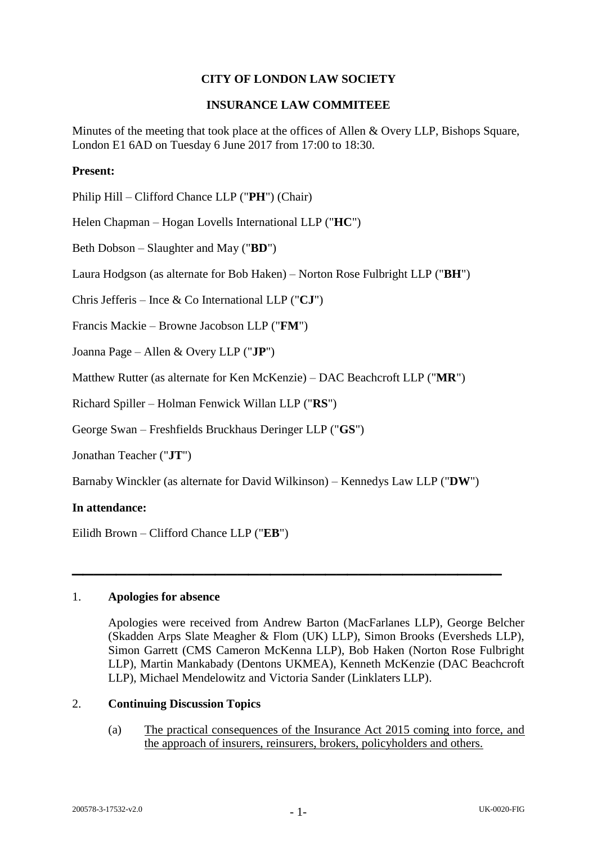# **CITY OF LONDON LAW SOCIETY**

## **INSURANCE LAW COMMITEEE**

Minutes of the meeting that took place at the offices of Allen & Overy LLP, Bishops Square, London E1 6AD on Tuesday 6 June 2017 from 17:00 to 18:30.

# **Present:**

Philip Hill – Clifford Chance LLP ("**PH**") (Chair)

Helen Chapman – Hogan Lovells International LLP ("**HC**")

Beth Dobson – Slaughter and May ("**BD**")

Laura Hodgson (as alternate for Bob Haken) – Norton Rose Fulbright LLP ("**BH**")

Chris Jefferis – Ince & Co International LLP ("**CJ**")

Francis Mackie – Browne Jacobson LLP ("**FM**")

Joanna Page – Allen & Overy LLP ("**JP**")

Matthew Rutter (as alternate for Ken McKenzie) – DAC Beachcroft LLP ("**MR**")

Richard Spiller – Holman Fenwick Willan LLP ("**RS**")

George Swan – Freshfields Bruckhaus Deringer LLP ("**GS**")

Jonathan Teacher ("**JT**")

Barnaby Winckler (as alternate for David Wilkinson) – Kennedys Law LLP ("**DW**")

**\_\_\_\_\_\_\_\_\_\_\_\_\_\_\_\_\_\_\_\_\_\_\_\_\_\_\_\_\_\_\_\_\_\_\_\_\_\_\_**

#### **In attendance:**

Eilidh Brown – Clifford Chance LLP ("**EB**")

#### 1. **Apologies for absence**

Apologies were received from Andrew Barton (MacFarlanes LLP), George Belcher (Skadden Arps Slate Meagher & Flom (UK) LLP), Simon Brooks (Eversheds LLP), Simon Garrett (CMS Cameron McKenna LLP), Bob Haken (Norton Rose Fulbright LLP), Martin Mankabady (Dentons UKMEA), Kenneth McKenzie (DAC Beachcroft LLP), Michael Mendelowitz and Victoria Sander (Linklaters LLP).

## 2. **Continuing Discussion Topics**

(a) The practical consequences of the Insurance Act 2015 coming into force, and the approach of insurers, reinsurers, brokers, policyholders and others.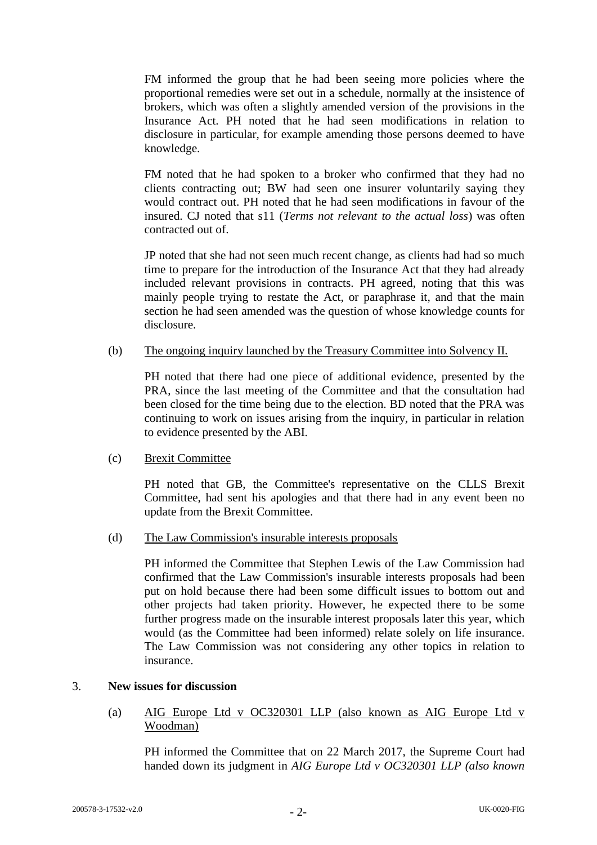FM informed the group that he had been seeing more policies where the proportional remedies were set out in a schedule, normally at the insistence of brokers, which was often a slightly amended version of the provisions in the Insurance Act. PH noted that he had seen modifications in relation to disclosure in particular, for example amending those persons deemed to have knowledge.

FM noted that he had spoken to a broker who confirmed that they had no clients contracting out; BW had seen one insurer voluntarily saying they would contract out. PH noted that he had seen modifications in favour of the insured. CJ noted that s11 (*Terms not relevant to the actual loss*) was often contracted out of.

JP noted that she had not seen much recent change, as clients had had so much time to prepare for the introduction of the Insurance Act that they had already included relevant provisions in contracts. PH agreed, noting that this was mainly people trying to restate the Act, or paraphrase it, and that the main section he had seen amended was the question of whose knowledge counts for disclosure.

### (b) The ongoing inquiry launched by the Treasury Committee into Solvency II.

PH noted that there had one piece of additional evidence, presented by the PRA, since the last meeting of the Committee and that the consultation had been closed for the time being due to the election. BD noted that the PRA was continuing to work on issues arising from the inquiry, in particular in relation to evidence presented by the ABI.

#### (c) Brexit Committee

PH noted that GB, the Committee's representative on the CLLS Brexit Committee, had sent his apologies and that there had in any event been no update from the Brexit Committee.

#### (d) The Law Commission's insurable interests proposals

PH informed the Committee that Stephen Lewis of the Law Commission had confirmed that the Law Commission's insurable interests proposals had been put on hold because there had been some difficult issues to bottom out and other projects had taken priority. However, he expected there to be some further progress made on the insurable interest proposals later this year, which would (as the Committee had been informed) relate solely on life insurance. The Law Commission was not considering any other topics in relation to insurance.

## 3. **New issues for discussion**

(a) AIG Europe Ltd v OC320301 LLP (also known as AIG Europe Ltd v Woodman)

PH informed the Committee that on 22 March 2017, the Supreme Court had handed down its judgment in *AIG Europe Ltd v OC320301 LLP (also known*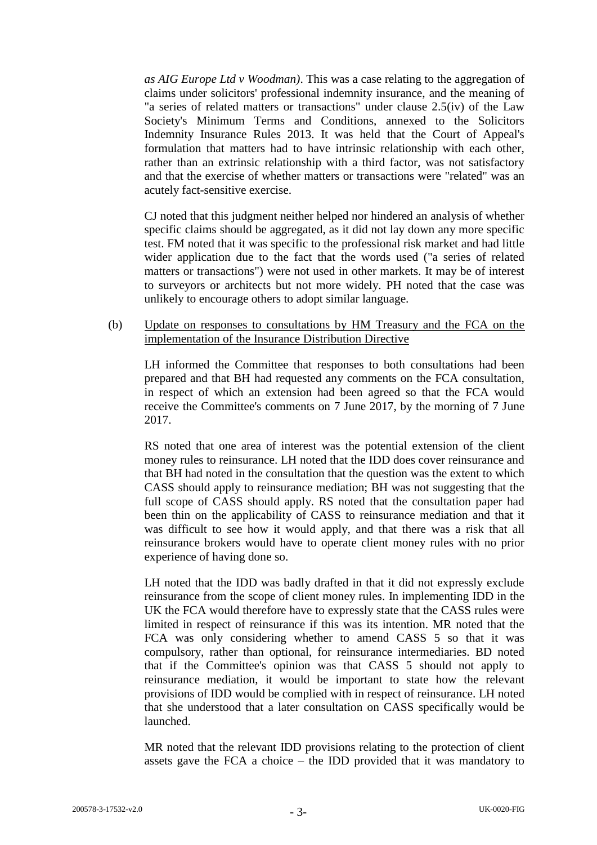*as AIG Europe Ltd v Woodman)*. This was a case relating to the aggregation of claims under solicitors' professional indemnity insurance, and the meaning of "a series of related matters or transactions" under clause 2.5(iv) of the Law Society's Minimum Terms and Conditions, annexed to the Solicitors Indemnity Insurance Rules 2013. It was held that the Court of Appeal's formulation that matters had to have intrinsic relationship with each other, rather than an extrinsic relationship with a third factor, was not satisfactory and that the exercise of whether matters or transactions were "related" was an acutely fact-sensitive exercise.

CJ noted that this judgment neither helped nor hindered an analysis of whether specific claims should be aggregated, as it did not lay down any more specific test. FM noted that it was specific to the professional risk market and had little wider application due to the fact that the words used ("a series of related matters or transactions") were not used in other markets. It may be of interest to surveyors or architects but not more widely. PH noted that the case was unlikely to encourage others to adopt similar language.

(b) Update on responses to consultations by HM Treasury and the FCA on the implementation of the Insurance Distribution Directive

LH informed the Committee that responses to both consultations had been prepared and that BH had requested any comments on the FCA consultation, in respect of which an extension had been agreed so that the FCA would receive the Committee's comments on 7 June 2017, by the morning of 7 June 2017.

RS noted that one area of interest was the potential extension of the client money rules to reinsurance. LH noted that the IDD does cover reinsurance and that BH had noted in the consultation that the question was the extent to which CASS should apply to reinsurance mediation; BH was not suggesting that the full scope of CASS should apply. RS noted that the consultation paper had been thin on the applicability of CASS to reinsurance mediation and that it was difficult to see how it would apply, and that there was a risk that all reinsurance brokers would have to operate client money rules with no prior experience of having done so.

LH noted that the IDD was badly drafted in that it did not expressly exclude reinsurance from the scope of client money rules. In implementing IDD in the UK the FCA would therefore have to expressly state that the CASS rules were limited in respect of reinsurance if this was its intention. MR noted that the FCA was only considering whether to amend CASS 5 so that it was compulsory, rather than optional, for reinsurance intermediaries. BD noted that if the Committee's opinion was that CASS 5 should not apply to reinsurance mediation, it would be important to state how the relevant provisions of IDD would be complied with in respect of reinsurance. LH noted that she understood that a later consultation on CASS specifically would be launched.

MR noted that the relevant IDD provisions relating to the protection of client assets gave the FCA a choice – the IDD provided that it was mandatory to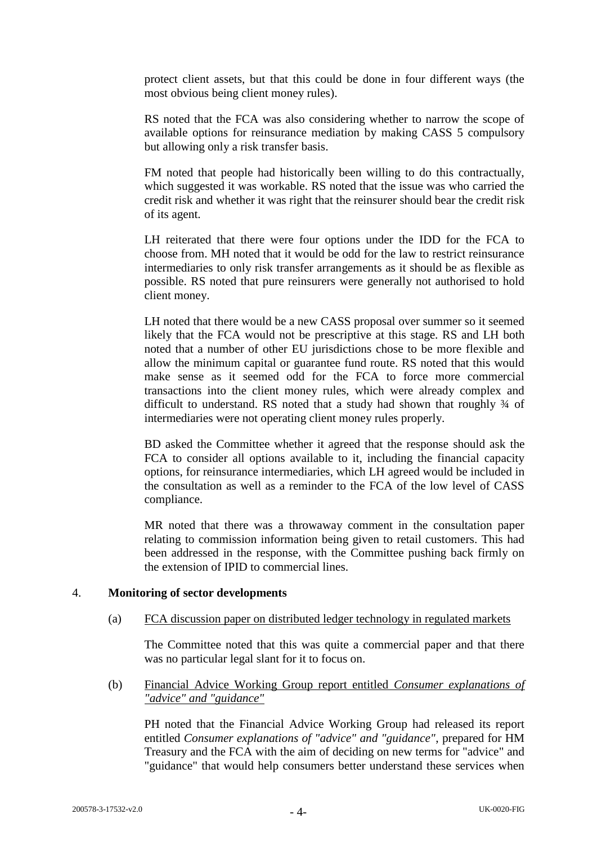protect client assets, but that this could be done in four different ways (the most obvious being client money rules).

RS noted that the FCA was also considering whether to narrow the scope of available options for reinsurance mediation by making CASS 5 compulsory but allowing only a risk transfer basis.

FM noted that people had historically been willing to do this contractually, which suggested it was workable. RS noted that the issue was who carried the credit risk and whether it was right that the reinsurer should bear the credit risk of its agent.

LH reiterated that there were four options under the IDD for the FCA to choose from. MH noted that it would be odd for the law to restrict reinsurance intermediaries to only risk transfer arrangements as it should be as flexible as possible. RS noted that pure reinsurers were generally not authorised to hold client money.

LH noted that there would be a new CASS proposal over summer so it seemed likely that the FCA would not be prescriptive at this stage. RS and LH both noted that a number of other EU jurisdictions chose to be more flexible and allow the minimum capital or guarantee fund route. RS noted that this would make sense as it seemed odd for the FCA to force more commercial transactions into the client money rules, which were already complex and difficult to understand. RS noted that a study had shown that roughly ¾ of intermediaries were not operating client money rules properly.

BD asked the Committee whether it agreed that the response should ask the FCA to consider all options available to it, including the financial capacity options, for reinsurance intermediaries, which LH agreed would be included in the consultation as well as a reminder to the FCA of the low level of CASS compliance.

MR noted that there was a throwaway comment in the consultation paper relating to commission information being given to retail customers. This had been addressed in the response, with the Committee pushing back firmly on the extension of IPID to commercial lines.

#### 4. **Monitoring of sector developments**

#### (a) FCA discussion paper on distributed ledger technology in regulated markets

The Committee noted that this was quite a commercial paper and that there was no particular legal slant for it to focus on.

(b) Financial Advice Working Group report entitled *Consumer explanations of "advice" and "guidance"*

PH noted that the Financial Advice Working Group had released its report entitled *Consumer explanations of "advice" and "guidance"*, prepared for HM Treasury and the FCA with the aim of deciding on new terms for "advice" and "guidance" that would help consumers better understand these services when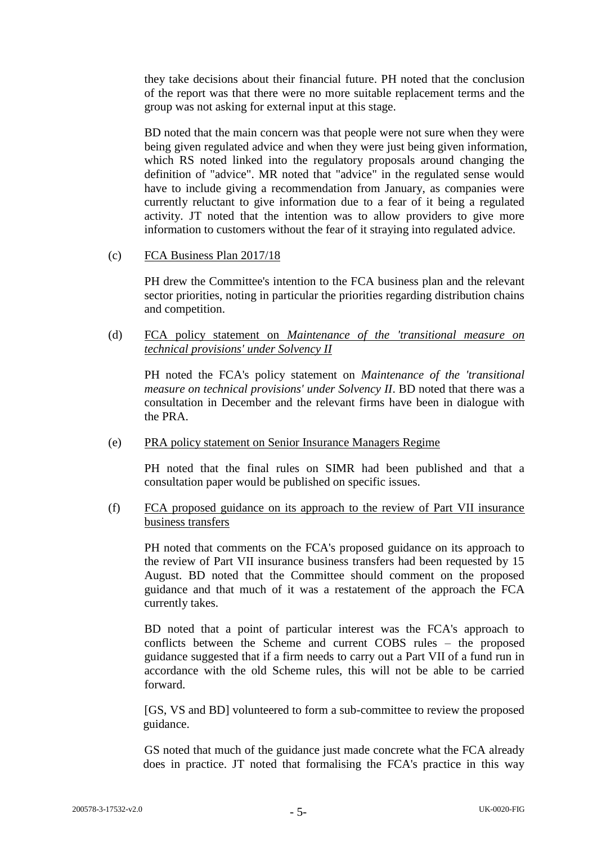they take decisions about their financial future. PH noted that the conclusion of the report was that there were no more suitable replacement terms and the group was not asking for external input at this stage.

BD noted that the main concern was that people were not sure when they were being given regulated advice and when they were just being given information, which RS noted linked into the regulatory proposals around changing the definition of "advice". MR noted that "advice" in the regulated sense would have to include giving a recommendation from January, as companies were currently reluctant to give information due to a fear of it being a regulated activity. JT noted that the intention was to allow providers to give more information to customers without the fear of it straying into regulated advice.

(c) FCA Business Plan 2017/18

PH drew the Committee's intention to the FCA business plan and the relevant sector priorities, noting in particular the priorities regarding distribution chains and competition.

(d) FCA policy statement on *Maintenance of the 'transitional measure on technical provisions' under Solvency II*

PH noted the FCA's policy statement on *Maintenance of the 'transitional measure on technical provisions' under Solvency II*. BD noted that there was a consultation in December and the relevant firms have been in dialogue with the PRA.

(e) PRA policy statement on Senior Insurance Managers Regime

PH noted that the final rules on SIMR had been published and that a consultation paper would be published on specific issues.

(f) FCA proposed guidance on its approach to the review of Part VII insurance business transfers

PH noted that comments on the FCA's proposed guidance on its approach to the review of Part VII insurance business transfers had been requested by 15 August. BD noted that the Committee should comment on the proposed guidance and that much of it was a restatement of the approach the FCA currently takes.

BD noted that a point of particular interest was the FCA's approach to conflicts between the Scheme and current COBS rules – the proposed guidance suggested that if a firm needs to carry out a Part VII of a fund run in accordance with the old Scheme rules, this will not be able to be carried forward.

[GS, VS and BD] volunteered to form a sub-committee to review the proposed guidance.

GS noted that much of the guidance just made concrete what the FCA already does in practice. JT noted that formalising the FCA's practice in this way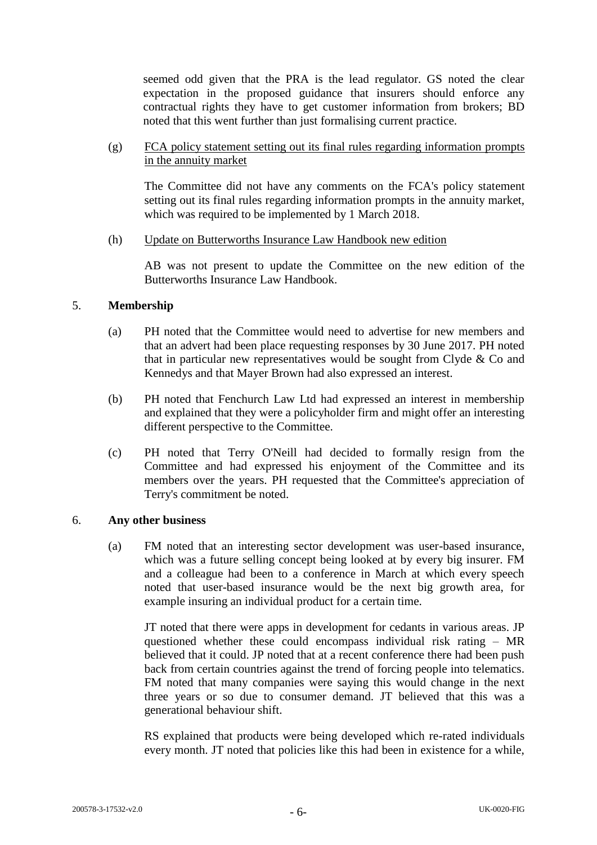seemed odd given that the PRA is the lead regulator. GS noted the clear expectation in the proposed guidance that insurers should enforce any contractual rights they have to get customer information from brokers; BD noted that this went further than just formalising current practice.

(g) FCA policy statement setting out its final rules regarding information prompts in the annuity market

The Committee did not have any comments on the FCA's policy statement setting out its final rules regarding information prompts in the annuity market, which was required to be implemented by 1 March 2018.

(h) Update on Butterworths Insurance Law Handbook new edition

AB was not present to update the Committee on the new edition of the Butterworths Insurance Law Handbook.

# 5. **Membership**

- (a) PH noted that the Committee would need to advertise for new members and that an advert had been place requesting responses by 30 June 2017. PH noted that in particular new representatives would be sought from Clyde & Co and Kennedys and that Mayer Brown had also expressed an interest.
- (b) PH noted that Fenchurch Law Ltd had expressed an interest in membership and explained that they were a policyholder firm and might offer an interesting different perspective to the Committee.
- (c) PH noted that Terry O'Neill had decided to formally resign from the Committee and had expressed his enjoyment of the Committee and its members over the years. PH requested that the Committee's appreciation of Terry's commitment be noted.

#### 6. **Any other business**

(a) FM noted that an interesting sector development was user-based insurance, which was a future selling concept being looked at by every big insurer. FM and a colleague had been to a conference in March at which every speech noted that user-based insurance would be the next big growth area, for example insuring an individual product for a certain time.

JT noted that there were apps in development for cedants in various areas. JP questioned whether these could encompass individual risk rating – MR believed that it could. JP noted that at a recent conference there had been push back from certain countries against the trend of forcing people into telematics. FM noted that many companies were saying this would change in the next three years or so due to consumer demand. JT believed that this was a generational behaviour shift.

RS explained that products were being developed which re-rated individuals every month. JT noted that policies like this had been in existence for a while,